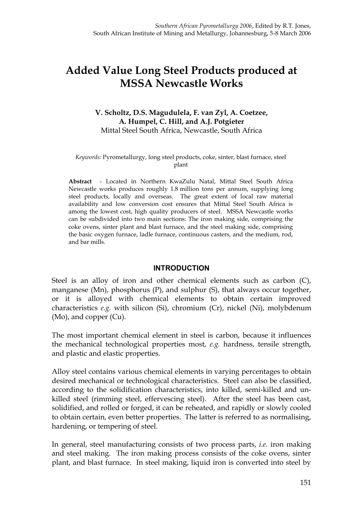# **Added Value Long Steel Products produced at MSSA Newcastle Works**

#### **V. Scholtz, D.S. Magudulela, F. van Zyl, A. Coetzee, A. Humpel, C. Hill, and A.J. Potgieter** Mittal Steel South Africa, Newcastle, South Africa

#### *Keywords:* Pyrometallurgy, long steel products, coke, sinter, blast furnace, steel plant

**Abstract** - Located in Northern KwaZulu Natal, Mittal Steel South Africa Newcastle works produces roughly 1.8 million tons per annum, supplying long steel products, locally and overseas. The great extent of local raw material availability and low conversion cost ensures that Mittal Steel South Africa is among the lowest cost, high quality producers of steel. MSSA Newcastle works can be subdivided into two main sections: The iron making side, comprising the coke ovens, sinter plant and blast furnace, and the steel making side, comprising the basic oxygen furnace, ladle furnace, continuous casters, and the medium, rod, and bar mills.

#### **INTRODUCTION**

Steel is an alloy of iron and other chemical elements such as carbon  $(C)$ , manganese (Mn), phosphorus (P), and sulphur (S), that always occur together, or it is alloyed with chemical elements to obtain certain improved characteristics *e.g.* with silicon (Si), chromium (Cr), nickel (Ni), molybdenum (Mo), and copper (Cu).

The most important chemical element in steel is carbon, because it influences the mechanical technological properties most, *e.g.* hardness, tensile strength, and plastic and elastic properties.

Alloy steel contains various chemical elements in varying percentages to obtain desired mechanical or technological characteristics. Steel can also be classified, according to the solidification characteristics, into killed, semi-killed and unkilled steel (rimming steel, effervescing steel). After the steel has been cast, solidified, and rolled or forged, it can be reheated, and rapidly or slowly cooled to obtain certain, even better properties. The latter is referred to as normalising, hardening, or tempering of steel.

In general, steel manufacturing consists of two process parts, *i.e.* iron making and steel making. The iron making process consists of the coke ovens, sinter plant, and blast furnace. In steel making, liquid iron is converted into steel by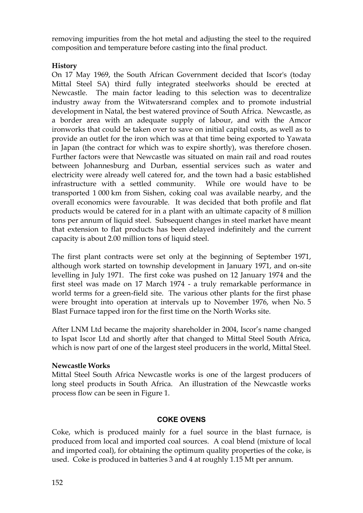removing impurities from the hot metal and adjusting the steel to the required composition and temperature before casting into the final product.

# **History**

On 17 May 1969, the South African Government decided that Iscor's (today Mittal Steel SA) third fully integrated steelworks should be erected at Newcastle. The main factor leading to this selection was to decentralize industry away from the Witwatersrand complex and to promote industrial development in Natal, the best watered province of South Africa. Newcastle, as a border area with an adequate supply of labour, and with the Amcor ironworks that could be taken over to save on initial capital costs, as well as to provide an outlet for the iron which was at that time being exported to Yawata in Japan (the contract for which was to expire shortly), was therefore chosen. Further factors were that Newcastle was situated on main rail and road routes between Johannesburg and Durban, essential services such as water and electricity were already well catered for, and the town had a basic established infrastructure with a settled community. While ore would have to be transported 1 000 km from Sishen, coking coal was available nearby, and the overall economics were favourable. It was decided that both profile and flat products would be catered for in a plant with an ultimate capacity of 8 million tons per annum of liquid steel. Subsequent changes in steel market have meant that extension to flat products has been delayed indefinitely and the current capacity is about 2.00 million tons of liquid steel.

The first plant contracts were set only at the beginning of September 1971, although work started on township development in January 1971, and on-site levelling in July 1971. The first coke was pushed on 12 January 1974 and the first steel was made on 17 March 1974 - a truly remarkable performance in world terms for a green-field site. The various other plants for the first phase were brought into operation at intervals up to November 1976, when No. 5 Blast Furnace tapped iron for the first time on the North Works site.

After LNM Ltd became the majority shareholder in 2004, Iscor's name changed to Ispat Iscor Ltd and shortly after that changed to Mittal Steel South Africa, which is now part of one of the largest steel producers in the world, Mittal Steel.

# **Newcastle Works**

Mittal Steel South Africa Newcastle works is one of the largest producers of long steel products in South Africa. An illustration of the Newcastle works process flow can be seen in Figure 1.

# **COKE OVENS**

Coke, which is produced mainly for a fuel source in the blast furnace, is produced from local and imported coal sources. A coal blend (mixture of local and imported coal), for obtaining the optimum quality properties of the coke, is used. Coke is produced in batteries 3 and 4 at roughly 1.15 Mt per annum.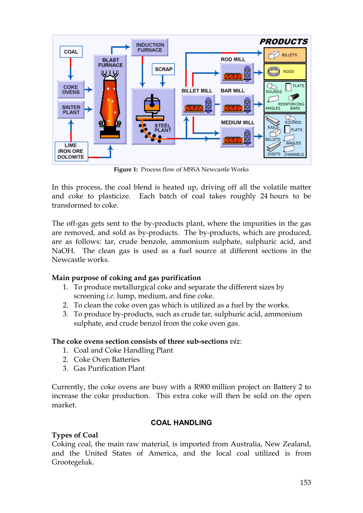

**Figure 1:** Process flow of MSSA Newcastle Works

In this process, the coal blend is heated up, driving off all the volatile matter and coke to plasticize. Each batch of coal takes roughly 24 hours to be transformed to coke.

The off-gas gets sent to the by-products plant, where the impurities in the gas are removed, and sold as by-products. The by-products, which are produced, are as follows: tar, crude benzole, ammonium sulphate, sulphuric acid, and NaOH. The clean gas is used as a fuel source at different sections in the Newcastle works.

# **Main purpose of coking and gas purification**

- 1. To produce metallurgical coke and separate the different sizes by screening *i.e.* lump, medium, and fine coke.
- 2. To clean the coke oven gas which is utilized as a fuel by the works.
- 3. To produce by-products, such as crude tar, sulphuric acid, ammonium sulphate, and crude benzol from the coke oven gas.

# **The coke ovens section consists of three sub-sections** *viz:*

- 1. Coal and Coke Handling Plant
- 2. Coke Oven Batteries
- 3. Gas Purification Plant

Currently, the coke ovens are busy with a R900 million project on Battery 2 to increase the coke production. This extra coke will then be sold on the open market.

# **COAL HANDLING**

# **Types of Coal**

Coking coal, the main raw material, is imported from Australia, New Zealand, and the United States of America, and the local coal utilized is from Grootegeluk.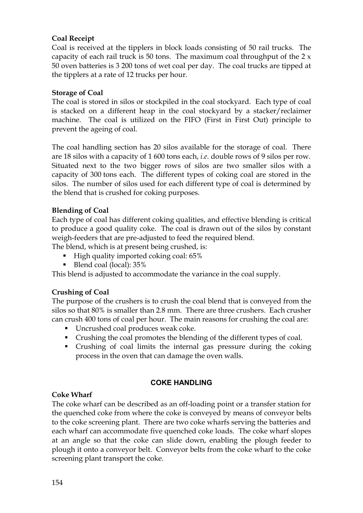# **Coal Receipt**

Coal is received at the tipplers in block loads consisting of 50 rail trucks. The capacity of each rail truck is 50 tons. The maximum coal throughput of the  $2 \times$ 50 oven batteries is 3 200 tons of wet coal per day. The coal trucks are tipped at the tipplers at a rate of 12 trucks per hour.

#### **Storage of Coal**

The coal is stored in silos or stockpiled in the coal stockyard. Each type of coal is stacked on a different heap in the coal stockyard by a stacker/reclaimer machine. The coal is utilized on the FIFO (First in First Out) principle to prevent the ageing of coal.

The coal handling section has 20 silos available for the storage of coal. There are 18 silos with a capacity of 1 600 tons each, *i.e.* double rows of 9 silos per row. Situated next to the two bigger rows of silos are two smaller silos with a capacity of 300 tons each. The different types of coking coal are stored in the silos. The number of silos used for each different type of coal is determined by the blend that is crushed for coking purposes.

# **Blending of Coal**

Each type of coal has different coking qualities, and effective blending is critical to produce a good quality coke. The coal is drawn out of the silos by constant weigh-feeders that are pre-adjusted to feed the required blend.

The blend, which is at present being crushed, is:

- $\blacksquare$  High quality imported coking coal: 65%
- Blend coal (local): 35%

This blend is adjusted to accommodate the variance in the coal supply.

# **Crushing of Coal**

The purpose of the crushers is to crush the coal blend that is conveyed from the silos so that 80% is smaller than 2.8 mm. There are three crushers. Each crusher can crush 400 tons of coal per hour. The main reasons for crushing the coal are:

- **I** Uncrushed coal produces weak coke.
- Crushing the coal promotes the blending of the different types of coal.
- ß Crushing of coal limits the internal gas pressure during the coking process in the oven that can damage the oven walls.

# **COKE HANDLING**

# **Coke Wharf**

The coke wharf can be described as an off-loading point or a transfer station for the quenched coke from where the coke is conveyed by means of conveyor belts to the coke screening plant. There are two coke wharfs serving the batteries and each wharf can accommodate five quenched coke loads. The coke wharf slopes at an angle so that the coke can slide down, enabling the plough feeder to plough it onto a conveyor belt. Conveyor belts from the coke wharf to the coke screening plant transport the coke.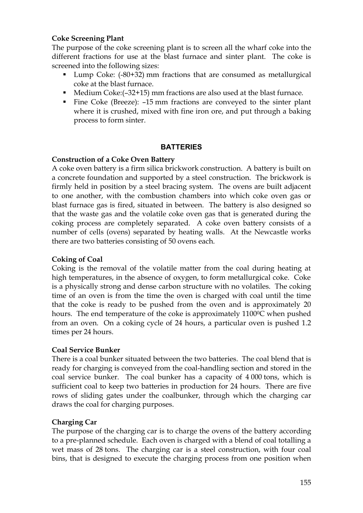# **Coke Screening Plant**

The purpose of the coke screening plant is to screen all the wharf coke into the different fractions for use at the blast furnace and sinter plant. The coke is screened into the following sizes:

- Lump Coke: (-80+32) mm fractions that are consumed as metallurgical coke at the blast furnace.
- $\blacksquare$  Medium Coke:(-32+15) mm fractions are also used at the blast furnace.
- Fine Coke (Breeze): -15 mm fractions are conveyed to the sinter plant where it is crushed, mixed with fine iron ore, and put through a baking process to form sinter.

# **BATTERIES**

# **Construction of a Coke Oven Battery**

A coke oven battery is a firm silica brickwork construction. A battery is built on a concrete foundation and supported by a steel construction. The brickwork is firmly held in position by a steel bracing system. The ovens are built adjacent to one another, with the combustion chambers into which coke oven gas or blast furnace gas is fired, situated in between. The battery is also designed so that the waste gas and the volatile coke oven gas that is generated during the coking process are completely separated. A coke oven battery consists of a number of cells (ovens) separated by heating walls. At the Newcastle works there are two batteries consisting of 50 ovens each.

# **Coking of Coal**

Coking is the removal of the volatile matter from the coal during heating at high temperatures, in the absence of oxygen, to form metallurgical coke. Coke is a physically strong and dense carbon structure with no volatiles. The coking time of an oven is from the time the oven is charged with coal until the time that the coke is ready to be pushed from the oven and is approximately 20 hours. The end temperature of the coke is approximately 1100<sup>o</sup>C when pushed from an oven. On a coking cycle of 24 hours, a particular oven is pushed 1.2 times per 24 hours.

# **Coal Service Bunker**

There is a coal bunker situated between the two batteries. The coal blend that is ready for charging is conveyed from the coal-handling section and stored in the coal service bunker. The coal bunker has a capacity of 4 000 tons, which is sufficient coal to keep two batteries in production for 24 hours. There are five rows of sliding gates under the coalbunker, through which the charging car draws the coal for charging purposes.

# **Charging Car**

The purpose of the charging car is to charge the ovens of the battery according to a pre-planned schedule. Each oven is charged with a blend of coal totalling a wet mass of 28 tons. The charging car is a steel construction, with four coal bins, that is designed to execute the charging process from one position when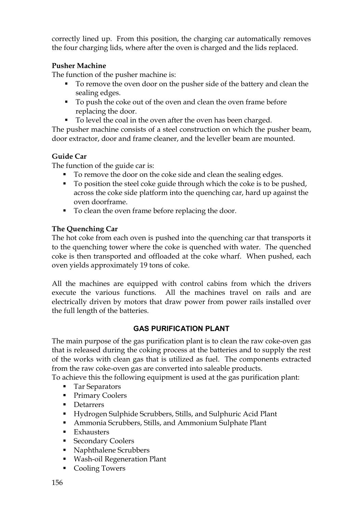correctly lined up. From this position, the charging car automatically removes the four charging lids, where after the oven is charged and the lids replaced.

# **Pusher Machine**

The function of the pusher machine is:

- To remove the oven door on the pusher side of the battery and clean the sealing edges.
- To push the coke out of the oven and clean the oven frame before replacing the door.
- To level the coal in the oven after the oven has been charged.

The pusher machine consists of a steel construction on which the pusher beam, door extractor, door and frame cleaner, and the leveller beam are mounted.

# **Guide Car**

The function of the guide car is:

- To remove the door on the coke side and clean the sealing edges.
- $\blacksquare$  To position the steel coke guide through which the coke is to be pushed, across the coke side platform into the quenching car, hard up against the oven doorframe.
- To clean the oven frame before replacing the door.

# **The Quenching Car**

The hot coke from each oven is pushed into the quenching car that transports it to the quenching tower where the coke is quenched with water. The quenched coke is then transported and offloaded at the coke wharf. When pushed, each oven yields approximately 19 tons of coke.

All the machines are equipped with control cabins from which the drivers execute the various functions. All the machines travel on rails and are electrically driven by motors that draw power from power rails installed over the full length of the batteries.

# **GAS PURIFICATION PLANT**

The main purpose of the gas purification plant is to clean the raw coke-oven gas that is released during the coking process at the batteries and to supply the rest of the works with clean gas that is utilized as fuel. The components extracted from the raw coke-oven gas are converted into saleable products.

To achieve this the following equipment is used at the gas purification plant:

- Tar Separators
- Primary Coolers
- **Detarrers**
- ß Hydrogen Sulphide Scrubbers, Stills, and Sulphuric Acid Plant
- **Ammonia Scrubbers, Stills, and Ammonium Sulphate Plant**
- $\blacksquare$  Exhausters
- **Secondary Coolers**
- Naphthalene Scrubbers
- **Wash-oil Regeneration Plant**
- Cooling Towers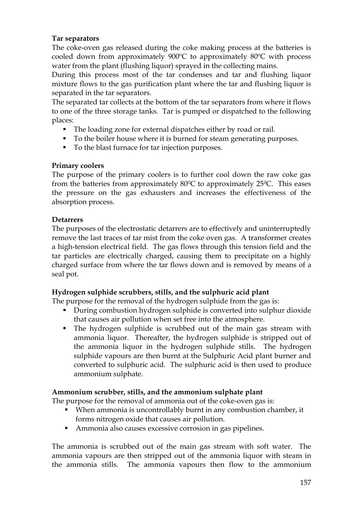#### **Tar separators**

The coke-oven gas released during the coke making process at the batteries is cooled down from approximately 900ºC to approximately 80ºC with process water from the plant (flushing liquor) sprayed in the collecting mains.

During this process most of the tar condenses and tar and flushing liquor mixture flows to the gas purification plant where the tar and flushing liquor is separated in the tar separators.

The separated tar collects at the bottom of the tar separators from where it flows to one of the three storage tanks. Tar is pumped or dispatched to the following places:

- The loading zone for external dispatches either by road or rail.
- To the boiler house where it is burned for steam generating purposes.
- To the blast furnace for tar injection purposes.

# **Primary coolers**

The purpose of the primary coolers is to further cool down the raw coke gas from the batteries from approximately  $80\degree$ C to approximately 25 $\degree$ C. This eases the pressure on the gas exhausters and increases the effectiveness of the absorption process.

# **Detarrers**

The purposes of the electrostatic detarrers are to effectively and uninterruptedly remove the last traces of tar mist from the coke oven gas. A transformer creates a high-tension electrical field. The gas flows through this tension field and the tar particles are electrically charged, causing them to precipitate on a highly charged surface from where the tar flows down and is removed by means of a seal pot.

# **Hydrogen sulphide scrubbers, stills, and the sulphuric acid plant**

The purpose for the removal of the hydrogen sulphide from the gas is:

- During combustion hydrogen sulphide is converted into sulphur dioxide that causes air pollution when set free into the atmosphere.
- The hydrogen sulphide is scrubbed out of the main gas stream with ammonia liquor. Thereafter, the hydrogen sulphide is stripped out of the ammonia liquor in the hydrogen sulphide stills. The hydrogen sulphide vapours are then burnt at the Sulphuric Acid plant burner and converted to sulphuric acid. The sulphuric acid is then used to produce ammonium sulphate.

# **Ammonium scrubber, stills, and the ammonium sulphate plant**

The purpose for the removal of ammonia out of the coke-oven gas is:

- When ammonia is uncontrollably burnt in any combustion chamber, it forms nitrogen oxide that causes air pollution.
- Ammonia also causes excessive corrosion in gas pipelines.

The ammonia is scrubbed out of the main gas stream with soft water. The ammonia vapours are then stripped out of the ammonia liquor with steam in the ammonia stills. The ammonia vapours then flow to the ammonium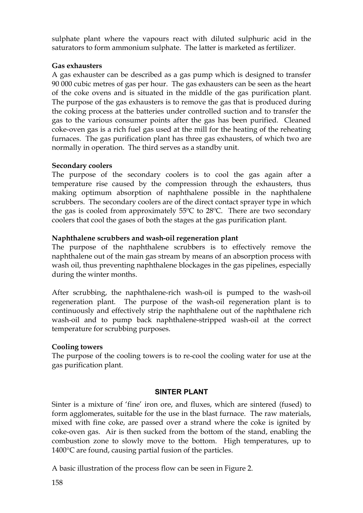sulphate plant where the vapours react with diluted sulphuric acid in the saturators to form ammonium sulphate. The latter is marketed as fertilizer.

# **Gas exhausters**

A gas exhauster can be described as a gas pump which is designed to transfer 90 000 cubic metres of gas per hour. The gas exhausters can be seen as the heart of the coke ovens and is situated in the middle of the gas purification plant. The purpose of the gas exhausters is to remove the gas that is produced during the coking process at the batteries under controlled suction and to transfer the gas to the various consumer points after the gas has been purified. Cleaned coke-oven gas is a rich fuel gas used at the mill for the heating of the reheating furnaces. The gas purification plant has three gas exhausters, of which two are normally in operation. The third serves as a standby unit.

# **Secondary coolers**

The purpose of the secondary coolers is to cool the gas again after a temperature rise caused by the compression through the exhausters, thus making optimum absorption of naphthalene possible in the naphthalene scrubbers. The secondary coolers are of the direct contact sprayer type in which the gas is cooled from approximately 55ºC to 28ºC. There are two secondary coolers that cool the gases of both the stages at the gas purification plant.

# **Naphthalene scrubbers and wash-oil regeneration plant**

The purpose of the naphthalene scrubbers is to effectively remove the naphthalene out of the main gas stream by means of an absorption process with wash oil, thus preventing naphthalene blockages in the gas pipelines, especially during the winter months.

After scrubbing, the naphthalene-rich wash-oil is pumped to the wash-oil regeneration plant. The purpose of the wash-oil regeneration plant is to continuously and effectively strip the naphthalene out of the naphthalene rich wash-oil and to pump back naphthalene-stripped wash-oil at the correct temperature for scrubbing purposes.

# **Cooling towers**

The purpose of the cooling towers is to re-cool the cooling water for use at the gas purification plant.

# **SINTER PLANT**

Sinter is a mixture of 'fine' iron ore, and fluxes, which are sintered (fused) to form agglomerates, suitable for the use in the blast furnace. The raw materials, mixed with fine coke, are passed over a strand where the coke is ignited by coke-oven gas. Air is then sucked from the bottom of the stand, enabling the combustion zone to slowly move to the bottom. High temperatures, up to 1400°C are found, causing partial fusion of the particles.

A basic illustration of the process flow can be seen in Figure 2.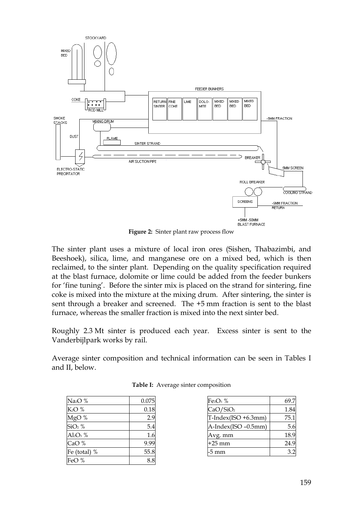

**Figure 2:** Sinter plant raw process flow

The sinter plant uses a mixture of local iron ores (Sishen, Thabazimbi, and Beeshoek), silica, lime, and manganese ore on a mixed bed, which is then reclaimed, to the sinter plant. Depending on the quality specification required at the blast furnace, dolomite or lime could be added from the feeder bunkers for 'fine tuning'. Before the sinter mix is placed on the strand for sintering, fine coke is mixed into the mixture at the mixing drum. After sintering, the sinter is sent through a breaker and screened. The +5 mm fraction is sent to the blast furnace, whereas the smaller fraction is mixed into the next sinter bed.

Roughly 2.3 Mt sinter is produced each year. Excess sinter is sent to the Vanderbijlpark works by rail.

Average sinter composition and technical information can be seen in Tables I and II, below.

| Na <sub>2</sub> O % | 0.075 |
|---------------------|-------|
| $K2O$ %             | 0.18  |
| MgO %               | 2.9   |
| $SiO2$ %            | 5.4   |
| $Al_2O_3$ %         | 1.6   |
| CaO %               | 9.99  |
| Fe (total) %        | 55.8  |
| FeO %               |       |

| Table I: Average sinter composition |  |
|-------------------------------------|--|
|                                     |  |

| $Fe2O3$ %            | 69.7 |
|----------------------|------|
| CaO/SiO <sub>2</sub> | 1.84 |
| T-Index(ISO +6.3mm)  | 75.1 |
| A-Index(ISO -0.5mm)  | 5.6  |
| Avg. mm              | 18.9 |
| $+25$ mm             | 24.9 |
| -5 mm                | 3.2  |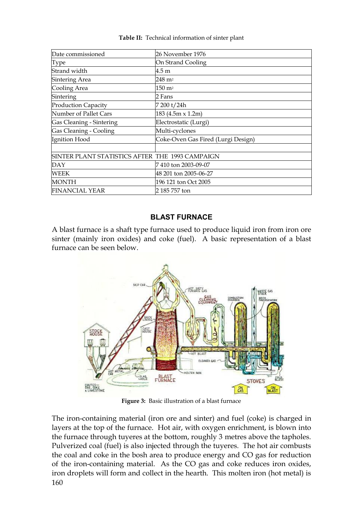| Date commissioned                               | 26 November 1976                   |  |
|-------------------------------------------------|------------------------------------|--|
| Type                                            | On Strand Cooling                  |  |
| Strand width                                    | 4.5 m                              |  |
| Sintering Area                                  | 248 m <sup>2</sup>                 |  |
| Cooling Area                                    | $150 \; \mathrm{m}^2$              |  |
| Sintering                                       | 2 Fans                             |  |
| <b>Production Capacity</b>                      | 7 200 t/24h                        |  |
| Number of Pallet Cars                           | 183 (4.5m x 1.2m)                  |  |
| Gas Cleaning - Sintering                        | Electrostatic (Lurgi)              |  |
| Gas Cleaning - Cooling                          | Multi-cyclones                     |  |
| Ignition Hood                                   | Coke-Oven Gas Fired (Lurgi Design) |  |
|                                                 |                                    |  |
| SINTER PLANT STATISTICS AFTER THE 1993 CAMPAIGN |                                    |  |
| <b>DAY</b>                                      | 7 410 ton 2003-09-07               |  |
| <b>WEEK</b>                                     | 48 201 ton 2005-06-27              |  |
| <b>MONTH</b>                                    | 196 121 ton Oct 2005               |  |
| <b>FINANCIAL YEAR</b>                           | 2 185 757 ton                      |  |

**Table II:** Technical information of sinter plant

# **BLAST FURNACE**

A blast furnace is a shaft type furnace used to produce liquid iron from iron ore sinter (mainly iron oxides) and coke (fuel). A basic representation of a blast furnace can be seen below.



**Figure 3:** Basic illustration of a blast furnace

160 The iron-containing material (iron ore and sinter) and fuel (coke) is charged in layers at the top of the furnace. Hot air, with oxygen enrichment, is blown into the furnace through tuyeres at the bottom, roughly 3 metres above the tapholes. Pulverized coal (fuel) is also injected through the tuyeres. The hot air combusts the coal and coke in the bosh area to produce energy and CO gas for reduction of the iron-containing material. As the CO gas and coke reduces iron oxides, iron droplets will form and collect in the hearth. This molten iron (hot metal) is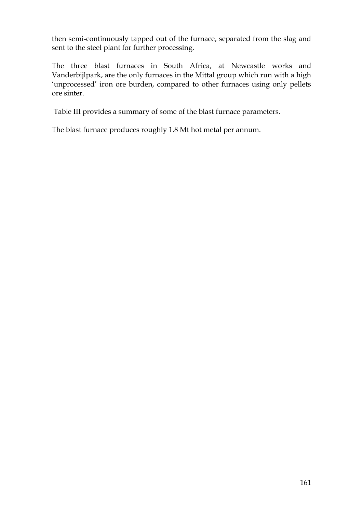then semi-continuously tapped out of the furnace, separated from the slag and sent to the steel plant for further processing.

The three blast furnaces in South Africa, at Newcastle works and Vanderbijlpark, are the only furnaces in the Mittal group which run with a high 'unprocessed' iron ore burden, compared to other furnaces using only pellets ore sinter.

Table III provides a summary of some of the blast furnace parameters.

The blast furnace produces roughly 1.8 Mt hot metal per annum.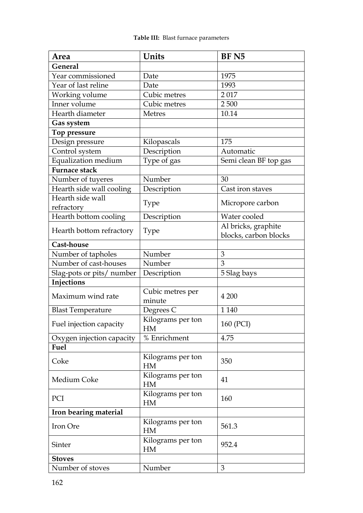| Area                      | Units                   | BF <sub>N5</sub>      |  |
|---------------------------|-------------------------|-----------------------|--|
| General                   |                         |                       |  |
| Year commissioned         | Date                    | 1975                  |  |
| Year of last reline       | Date                    | 1993                  |  |
| Working volume            | Cubic metres            | 2017                  |  |
| Inner volume              | Cubic metres            | 2500                  |  |
| Hearth diameter           | <b>Metres</b>           | 10.14                 |  |
| Gas system                |                         |                       |  |
| Top pressure              |                         |                       |  |
| Design pressure           | Kilopascals             | 175                   |  |
| Control system            | Description             | Automatic             |  |
| Equalization medium       | Type of gas             | Semi clean BF top gas |  |
| <b>Furnace stack</b>      |                         |                       |  |
| Number of tuyeres         | Number                  | 30                    |  |
| Hearth side wall cooling  | Description             | Cast iron staves      |  |
| Hearth side wall          | <b>Type</b>             | Micropore carbon      |  |
| refractory                |                         |                       |  |
| Hearth bottom cooling     | Description             | Water cooled          |  |
| Hearth bottom refractory  | <b>Type</b>             | Al bricks, graphite   |  |
|                           |                         | blocks, carbon blocks |  |
| Cast-house                |                         |                       |  |
| Number of tapholes        | Number                  | 3                     |  |
| Number of cast-houses     | Number                  | 3                     |  |
| Slag-pots or pits/ number | Description             | 5 Slag bays           |  |
| Injections                |                         |                       |  |
| Maximum wind rate         | Cubic metres per        | 4 200                 |  |
|                           | minute                  |                       |  |
| <b>Blast Temperature</b>  | Degrees C               | 1 1 4 0               |  |
| Fuel injection capacity   | Kilograms per ton<br>HM | 160 (PCI)             |  |
| Oxygen injection capacity | % Enrichment            | 4.75                  |  |
| Fuel                      |                         |                       |  |
| Coke                      | Kilograms per ton       | 350                   |  |
|                           | HM                      |                       |  |
| Medium Coke               | Kilograms per ton       | 41                    |  |
|                           | <b>HM</b>               |                       |  |
| PCI                       | Kilograms per ton       | 160                   |  |
|                           | <b>HM</b>               |                       |  |
| Iron bearing material     |                         |                       |  |
| Iron Ore                  | Kilograms per ton       | 561.3                 |  |
|                           | <b>HM</b>               |                       |  |
| Sinter                    | Kilograms per ton       | 952.4                 |  |
|                           | <b>HM</b>               |                       |  |
| <b>Stoves</b>             |                         |                       |  |
| Number of stoves          | Number                  | 3                     |  |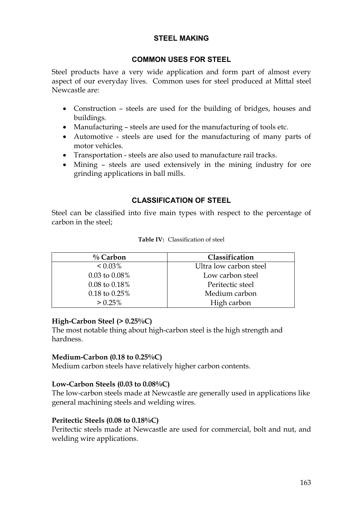#### **STEEL MAKING**

#### **COMMON USES FOR STEEL**

Steel products have a very wide application and form part of almost every aspect of our everyday lives. Common uses for steel produced at Mittal steel Newcastle are:

- · Construction steels are used for the building of bridges, houses and buildings.
- · Manufacturing steels are used for the manufacturing of tools etc.
- · Automotive steels are used for the manufacturing of many parts of motor vehicles.
- · Transportation steels are also used to manufacture rail tracks.
- · Mining steels are used extensively in the mining industry for ore grinding applications in ball mills.

# **CLASSIFICATION OF STEEL**

Steel can be classified into five main types with respect to the percentage of carbon in the steel;

| $\%$ Carbon               | Classification         |
|---------------------------|------------------------|
| $< 0.03\%$                | Ultra low carbon steel |
| $0.03$ to $0.08\%$        | Low carbon steel       |
| $0.08 \text{ to } 0.18\%$ | Peritectic steel       |
| $0.18$ to $0.25%$         | Medium carbon          |
| $> 0.25\%$                | High carbon            |

#### **High-Carbon Steel (> 0.25%C)**

The most notable thing about high-carbon steel is the high strength and hardness.

#### **Medium-Carbon (0.18 to 0.25%C)**

Medium carbon steels have relatively higher carbon contents.

#### **Low-Carbon Steels (0.03 to 0.08%C)**

The low-carbon steels made at Newcastle are generally used in applications like general machining steels and welding wires.

#### **Peritectic Steels (0.08 to 0.18%C)**

Peritectic steels made at Newcastle are used for commercial, bolt and nut, and welding wire applications.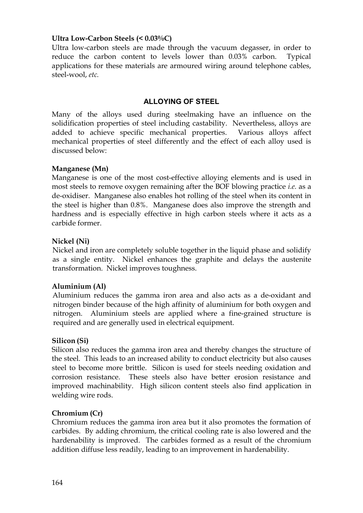#### **Ultra Low-Carbon Steels (< 0.03%C)**

Ultra low-carbon steels are made through the vacuum degasser, in order to reduce the carbon content to levels lower than 0.03% carbon. Typical applications for these materials are armoured wiring around telephone cables, steel-wool, *etc.*

#### **ALLOYING OF STEEL**

Many of the alloys used during steelmaking have an influence on the solidification properties of steel including castability. Nevertheless, alloys are added to achieve specific mechanical properties. Various alloys affect mechanical properties of steel differently and the effect of each alloy used is discussed below:

#### **Manganese (Mn)**

Manganese is one of the most cost-effective alloying elements and is used in most steels to remove oxygen remaining after the BOF blowing practice *i.e.* as a de-oxidiser. Manganese also enables hot rolling of the steel when its content in the steel is higher than 0.8%. Manganese does also improve the strength and hardness and is especially effective in high carbon steels where it acts as a carbide former.

#### **Nickel (Ni)**

Nickel and iron are completely soluble together in the liquid phase and solidify as a single entity. Nickel enhances the graphite and delays the austenite transformation. Nickel improves toughness.

#### **Aluminium (Al)**

Aluminium reduces the gamma iron area and also acts as a de-oxidant and nitrogen binder because of the high affinity of aluminium for both oxygen and nitrogen. Aluminium steels are applied where a fine-grained structure is required and are generally used in electrical equipment.

#### **Silicon (Si)**

Silicon also reduces the gamma iron area and thereby changes the structure of the steel. This leads to an increased ability to conduct electricity but also causes steel to become more brittle. Silicon is used for steels needing oxidation and corrosion resistance. These steels also have better erosion resistance and improved machinability. High silicon content steels also find application in welding wire rods.

#### **Chromium (Cr)**

Chromium reduces the gamma iron area but it also promotes the formation of carbides. By adding chromium, the critical cooling rate is also lowered and the hardenability is improved. The carbides formed as a result of the chromium addition diffuse less readily, leading to an improvement in hardenability.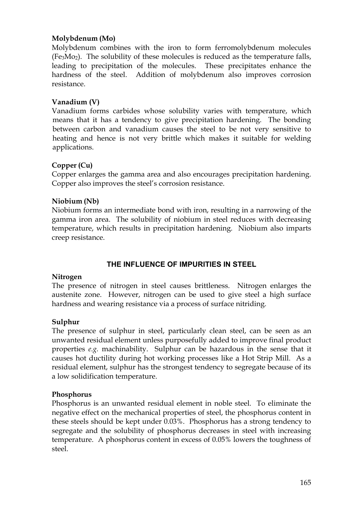## **Molybdenum (Mo)**

Molybdenum combines with the iron to form ferromolybdenum molecules  $(F_{e3}Mo<sub>2</sub>)$ . The solubility of these molecules is reduced as the temperature falls, leading to precipitation of the molecules. These precipitates enhance the hardness of the steel. Addition of molybdenum also improves corrosion resistance.

#### **Vanadium (V)**

Vanadium forms carbides whose solubility varies with temperature, which means that it has a tendency to give precipitation hardening. The bonding between carbon and vanadium causes the steel to be not very sensitive to heating and hence is not very brittle which makes it suitable for welding applications.

#### **Copper (Cu)**

Copper enlarges the gamma area and also encourages precipitation hardening. Copper also improves the steel's corrosion resistance.

#### **Niobium (Nb)**

Niobium forms an intermediate bond with iron, resulting in a narrowing of the gamma iron area. The solubility of niobium in steel reduces with decreasing temperature, which results in precipitation hardening. Niobium also imparts creep resistance.

# **THE INFLUENCE OF IMPURITIES IN STEEL**

#### **Nitrogen**

The presence of nitrogen in steel causes brittleness. Nitrogen enlarges the austenite zone. However, nitrogen can be used to give steel a high surface hardness and wearing resistance via a process of surface nitriding.

#### **Sulphur**

The presence of sulphur in steel, particularly clean steel, can be seen as an unwanted residual element unless purposefully added to improve final product properties *e.g.* machinability. Sulphur can be hazardous in the sense that it causes hot ductility during hot working processes like a Hot Strip Mill. As a residual element, sulphur has the strongest tendency to segregate because of its a low solidification temperature.

#### **Phosphorus**

Phosphorus is an unwanted residual element in noble steel. To eliminate the negative effect on the mechanical properties of steel, the phosphorus content in these steels should be kept under 0.03%. Phosphorus has a strong tendency to segregate and the solubility of phosphorus decreases in steel with increasing temperature. A phosphorus content in excess of 0.05% lowers the toughness of steel.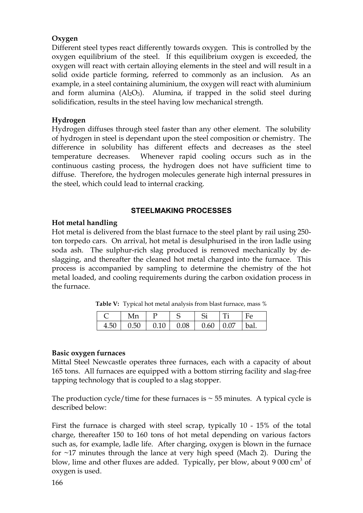# **Oxygen**

Different steel types react differently towards oxygen. This is controlled by the oxygen equilibrium of the steel. If this equilibrium oxygen is exceeded, the oxygen will react with certain alloying elements in the steel and will result in a solid oxide particle forming, referred to commonly as an inclusion. As an example, in a steel containing aluminium, the oxygen will react with aluminium and form alumina  $(AI_2O_3)$ . Alumina, if trapped in the solid steel during solidification, results in the steel having low mechanical strength.

# **Hydrogen**

Hydrogen diffuses through steel faster than any other element. The solubility of hydrogen in steel is dependant upon the steel composition or chemistry. The difference in solubility has different effects and decreases as the steel temperature decreases. Whenever rapid cooling occurs such as in the continuous casting process, the hydrogen does not have sufficient time to diffuse. Therefore, the hydrogen molecules generate high internal pressures in the steel, which could lead to internal cracking.

# **STEELMAKING PROCESSES**

# **Hot metal handling**

Hot metal is delivered from the blast furnace to the steel plant by rail using 250 ton torpedo cars. On arrival, hot metal is desulphurised in the iron ladle using soda ash. The sulphur-rich slag produced is removed mechanically by deslagging, and thereafter the cleaned hot metal charged into the furnace. This process is accompanied by sampling to determine the chemistry of the hot metal loaded, and cooling requirements during the carbon oxidation process in the furnace.

| $C$   Mn   P   S   Si   Ti   Fe                  |  |  |  |
|--------------------------------------------------|--|--|--|
| $4.50$   0.50   0.10   0.08   0.60   0.07   bal. |  |  |  |

**Table V:** Typical hot metal analysis from blast furnace, mass %

# **Basic oxygen furnaces**

Mittal Steel Newcastle operates three furnaces, each with a capacity of about 165 tons. All furnaces are equipped with a bottom stirring facility and slag-free tapping technology that is coupled to a slag stopper.

The production cycle/time for these furnaces is  $\sim$  55 minutes. A typical cycle is described below:

First the furnace is charged with steel scrap, typically 10 - 15% of the total charge, thereafter 150 to 160 tons of hot metal depending on various factors such as, for example, ladle life. After charging, oxygen is blown in the furnace for ~17 minutes through the lance at very high speed (Mach 2). During the blow, lime and other fluxes are added. Typically, per blow, about 9 000  $\text{cm}^3$  of oxygen is used.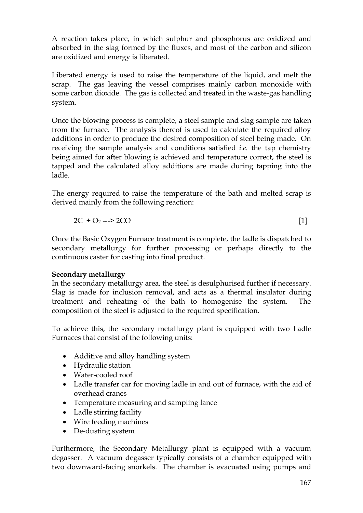A reaction takes place, in which sulphur and phosphorus are oxidized and absorbed in the slag formed by the fluxes, and most of the carbon and silicon are oxidized and energy is liberated.

Liberated energy is used to raise the temperature of the liquid, and melt the scrap. The gas leaving the vessel comprises mainly carbon monoxide with some carbon dioxide. The gas is collected and treated in the waste-gas handling system.

Once the blowing process is complete, a steel sample and slag sample are taken from the furnace. The analysis thereof is used to calculate the required alloy additions in order to produce the desired composition of steel being made. On receiving the sample analysis and conditions satisfied *i.e.* the tap chemistry being aimed for after blowing is achieved and temperature correct, the steel is tapped and the calculated alloy additions are made during tapping into the ladle.

The energy required to raise the temperature of the bath and melted scrap is derived mainly from the following reaction:

$$
2C + O_2 \longrightarrow 2CO \tag{1}
$$

Once the Basic Oxygen Furnace treatment is complete, the ladle is dispatched to secondary metallurgy for further processing or perhaps directly to the continuous caster for casting into final product.

# **Secondary metallurgy**

In the secondary metallurgy area, the steel is desulphurised further if necessary. Slag is made for inclusion removal, and acts as a thermal insulator during treatment and reheating of the bath to homogenise the system. The composition of the steel is adjusted to the required specification.

To achieve this, the secondary metallurgy plant is equipped with two Ladle Furnaces that consist of the following units:

- · Additive and alloy handling system
- · Hydraulic station
- · Water-cooled roof
- Ladle transfer car for moving ladle in and out of furnace, with the aid of overhead cranes
- · Temperature measuring and sampling lance
- Ladle stirring facility
- · Wire feeding machines
- · De-dusting system

Furthermore, the Secondary Metallurgy plant is equipped with a vacuum degasser. A vacuum degasser typically consists of a chamber equipped with two downward-facing snorkels. The chamber is evacuated using pumps and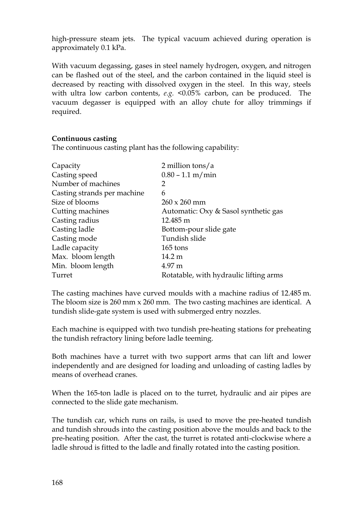high-pressure steam jets. The typical vacuum achieved during operation is approximately 0.1 kPa.

With vacuum degassing, gases in steel namely hydrogen, oxygen, and nitrogen can be flashed out of the steel, and the carbon contained in the liquid steel is decreased by reacting with dissolved oxygen in the steel. In this way, steels with ultra low carbon contents, *e.g.* <0.05% carbon, can be produced. The vacuum degasser is equipped with an alloy chute for alloy trimmings if required.

#### **Continuous casting**

The continuous casting plant has the following capability:

| Capacity                    | 2 million tons/ $a$                    |
|-----------------------------|----------------------------------------|
| Casting speed               | $0.80 - 1.1$ m/min                     |
| Number of machines          | 2                                      |
| Casting strands per machine | 6                                      |
| Size of blooms              | $260 \times 260$ mm                    |
| Cutting machines            | Automatic: Oxy & Sasol synthetic gas   |
| Casting radius              | 12.485 m                               |
| Casting ladle               | Bottom-pour slide gate                 |
| Casting mode                | Tundish slide                          |
| Ladle capacity              | 165 tons                               |
| Max. bloom length           | 14.2 m                                 |
| Min. bloom length           | $4.97 \text{ m}$                       |
| Turret                      | Rotatable, with hydraulic lifting arms |

The casting machines have curved moulds with a machine radius of 12.485 m. The bloom size is 260 mm x 260 mm. The two casting machines are identical. A tundish slide-gate system is used with submerged entry nozzles.

Each machine is equipped with two tundish pre-heating stations for preheating the tundish refractory lining before ladle teeming.

Both machines have a turret with two support arms that can lift and lower independently and are designed for loading and unloading of casting ladles by means of overhead cranes.

When the 165-ton ladle is placed on to the turret, hydraulic and air pipes are connected to the slide gate mechanism.

The tundish car, which runs on rails, is used to move the pre-heated tundish and tundish shrouds into the casting position above the moulds and back to the pre-heating position. After the cast, the turret is rotated anti-clockwise where a ladle shroud is fitted to the ladle and finally rotated into the casting position.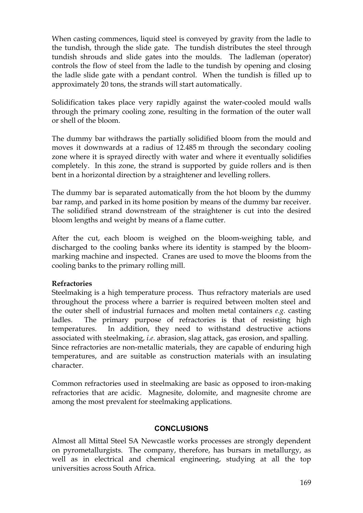When casting commences, liquid steel is conveyed by gravity from the ladle to the tundish, through the slide gate. The tundish distributes the steel through tundish shrouds and slide gates into the moulds. The ladleman (operator) controls the flow of steel from the ladle to the tundish by opening and closing the ladle slide gate with a pendant control. When the tundish is filled up to approximately 20 tons, the strands will start automatically.

Solidification takes place very rapidly against the water-cooled mould walls through the primary cooling zone, resulting in the formation of the outer wall or shell of the bloom.

The dummy bar withdraws the partially solidified bloom from the mould and moves it downwards at a radius of 12.485 m through the secondary cooling zone where it is sprayed directly with water and where it eventually solidifies completely. In this zone, the strand is supported by guide rollers and is then bent in a horizontal direction by a straightener and levelling rollers.

The dummy bar is separated automatically from the hot bloom by the dummy bar ramp, and parked in its home position by means of the dummy bar receiver. The solidified strand downstream of the straightener is cut into the desired bloom lengths and weight by means of a flame cutter.

After the cut, each bloom is weighed on the bloom-weighing table, and discharged to the cooling banks where its identity is stamped by the bloommarking machine and inspected. Cranes are used to move the blooms from the cooling banks to the primary rolling mill.

# **Refractories**

Steelmaking is a high temperature process. Thus refractory materials are used throughout the process where a barrier is required between molten steel and the outer shell of industrial furnaces and molten metal containers *e.g.* casting ladles. The primary purpose of refractories is that of resisting high temperatures. In addition, they need to withstand destructive actions associated with steelmaking, *i.e.* abrasion, slag attack, gas erosion, and spalling. Since refractories are non-metallic materials, they are capable of enduring high temperatures, and are suitable as construction materials with an insulating character.

Common refractories used in steelmaking are basic as opposed to iron-making refractories that are acidic. Magnesite, dolomite, and magnesite chrome are among the most prevalent for steelmaking applications.

# **CONCLUSIONS**

Almost all Mittal Steel SA Newcastle works processes are strongly dependent on pyrometallurgists. The company, therefore, has bursars in metallurgy, as well as in electrical and chemical engineering, studying at all the top universities across South Africa.